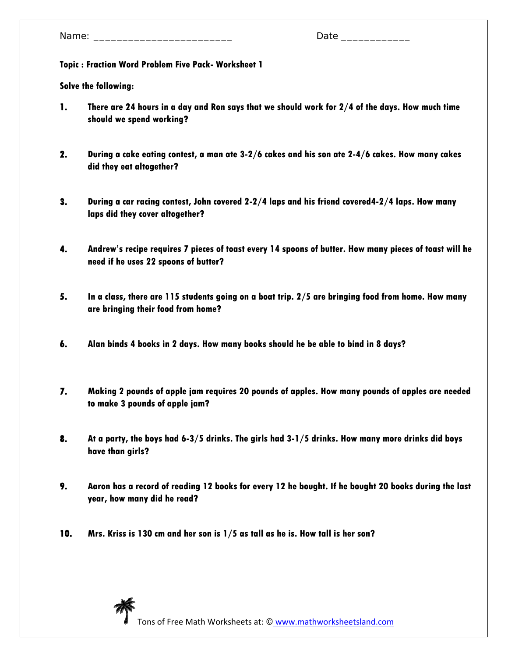# **Topic : Fraction Word Problem Five Pack- Worksheet 1**

- **1. There are 24 hours in a day and Ron says that we should work for 2/4 of the days. How much time should we spend working?**
- **2. During a cake eating contest, a man ate 3-2/6 cakes and his son ate 2-4/6 cakes. How many cakes did they eat altogether?**
- **3. During a car racing contest, John covered 2-2/4 laps and his friend covered4-2/4 laps. How many laps did they cover altogether?**
- **4. Andrew's recipe requires 7 pieces of toast every 14 spoons of butter. How many pieces of toast will he need if he uses 22 spoons of butter?**
- **5. In a class, there are 115 students going on a boat trip. 2/5 are bringing food from home. How many are bringing their food from home?**
- **6. Alan binds 4 books in 2 days. How many books should he be able to bind in 8 days?**
- **7. Making 2 pounds of apple jam requires 20 pounds of apples. How many pounds of apples are needed to make 3 pounds of apple jam?**
- **8. At a party, the boys had 6-3/5 drinks. The girls had 3-1/5 drinks. How many more drinks did boys have than girls?**
- **9. Aaron has a record of reading 12 books for every 12 he bought. If he bought 20 books during the last year, how many did he read?**
- **10. Mrs. Kriss is 130 cm and her son is 1/5 as tall as he is. How tall is her son?**

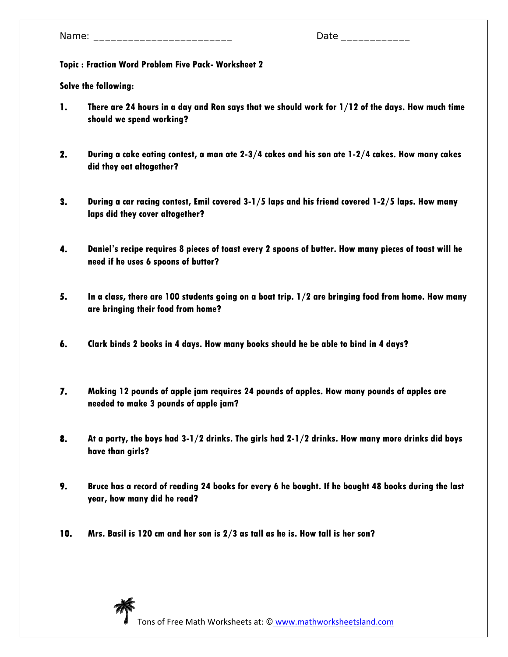# **Topic : Fraction Word Problem Five Pack- Worksheet 2**

- **1. There are 24 hours in a day and Ron says that we should work for 1/12 of the days. How much time should we spend working?**
- **2. During a cake eating contest, a man ate 2-3/4 cakes and his son ate 1-2/4 cakes. How many cakes did they eat altogether?**
- **3. During a car racing contest, Emil covered 3-1/5 laps and his friend covered 1-2/5 laps. How many laps did they cover altogether?**
- **4. Daniel's recipe requires 8 pieces of toast every 2 spoons of butter. How many pieces of toast will he need if he uses 6 spoons of butter?**
- **5. In a class, there are 100 students going on a boat trip. 1/2 are bringing food from home. How many are bringing their food from home?**
- **6. Clark binds 2 books in 4 days. How many books should he be able to bind in 4 days?**
- **7. Making 12 pounds of apple jam requires 24 pounds of apples. How many pounds of apples are needed to make 3 pounds of apple jam?**
- **8. At a party, the boys had 3-1/2 drinks. The girls had 2-1/2 drinks. How many more drinks did boys have than girls?**
- **9. Bruce has a record of reading 24 books for every 6 he bought. If he bought 48 books during the last year, how many did he read?**
- **10. Mrs. Basil is 120 cm and her son is 2/3 as tall as he is. How tall is her son?**

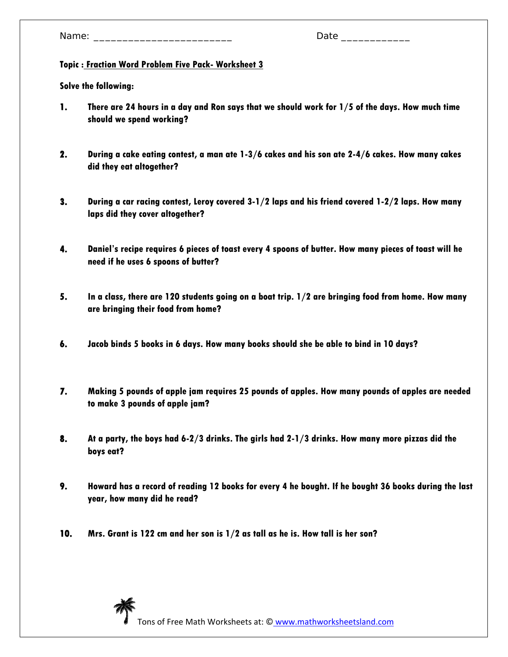# **Topic : Fraction Word Problem Five Pack- Worksheet 3**

- **1. There are 24 hours in a day and Ron says that we should work for 1/5 of the days. How much time should we spend working?**
- **2. During a cake eating contest, a man ate 1-3/6 cakes and his son ate 2-4/6 cakes. How many cakes did they eat altogether?**
- **3. During a car racing contest, Leroy covered 3-1/2 laps and his friend covered 1-2/2 laps. How many laps did they cover altogether?**
- **4. Daniel's recipe requires 6 pieces of toast every 4 spoons of butter. How many pieces of toast will he need if he uses 6 spoons of butter?**
- **5. In a class, there are 120 students going on a boat trip. 1/2 are bringing food from home. How many are bringing their food from home?**
- **6. Jacob binds 5 books in 6 days. How many books should she be able to bind in 10 days?**
- **7. Making 5 pounds of apple jam requires 25 pounds of apples. How many pounds of apples are needed to make 3 pounds of apple jam?**
- **8. At a party, the boys had 6-2/3 drinks. The girls had 2-1/3 drinks. How many more pizzas did the boys eat?**
- **9. Howard has a record of reading 12 books for every 4 he bought. If he bought 36 books during the last year, how many did he read?**
- **10. Mrs. Grant is 122 cm and her son is 1/2 as tall as he is. How tall is her son?**

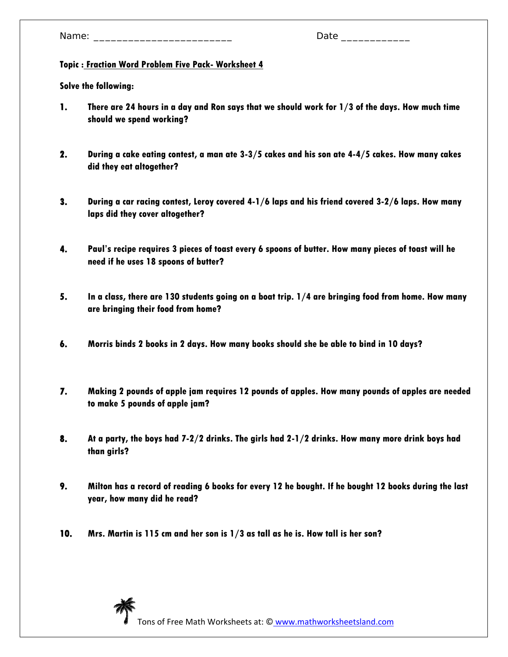# **Topic : Fraction Word Problem Five Pack- Worksheet 4**

- **1. There are 24 hours in a day and Ron says that we should work for 1/3 of the days. How much time should we spend working?**
- **2. During a cake eating contest, a man ate 3-3/5 cakes and his son ate 4-4/5 cakes. How many cakes did they eat altogether?**
- **3. During a car racing contest, Leroy covered 4-1/6 laps and his friend covered 3-2/6 laps. How many laps did they cover altogether?**
- **4. Paul's recipe requires 3 pieces of toast every 6 spoons of butter. How many pieces of toast will he need if he uses 18 spoons of butter?**
- **5. In a class, there are 130 students going on a boat trip. 1/4 are bringing food from home. How many are bringing their food from home?**
- **6. Morris binds 2 books in 2 days. How many books should she be able to bind in 10 days?**
- **7. Making 2 pounds of apple jam requires 12 pounds of apples. How many pounds of apples are needed to make 5 pounds of apple jam?**
- **8. At a party, the boys had 7-2/2 drinks. The girls had 2-1/2 drinks. How many more drink boys had than girls?**
- **9. Milton has a record of reading 6 books for every 12 he bought. If he bought 12 books during the last year, how many did he read?**
- **10. Mrs. Martin is 115 cm and her son is 1/3 as tall as he is. How tall is her son?**